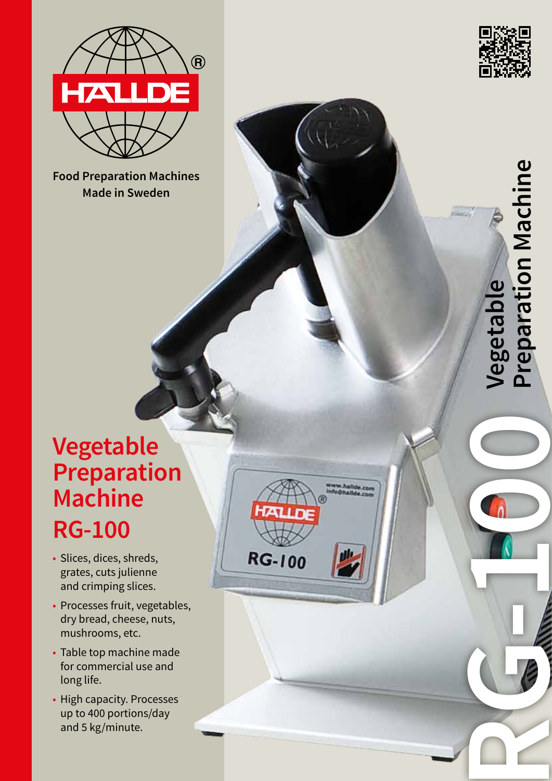

Food Preparation Machines **Food Preparation Machines** Made in Sweden **Made in Sweden**



**RG-100** 

**Vegetal** 

**Preparation Machine**

**Preparation Machine** 

# **Vegetable Preparation Machine RG-100**

- Slices, dices, shreds, grates, cuts julienne and crimping slices.
- Processes fruit, vegetables, dry bread, cheese, nuts, mushrooms, etc.

**RG-100** 

- Table top machine made for commercial use and long life.
- High capacity. Processes up to 400 portions/day and 5 kg/minute.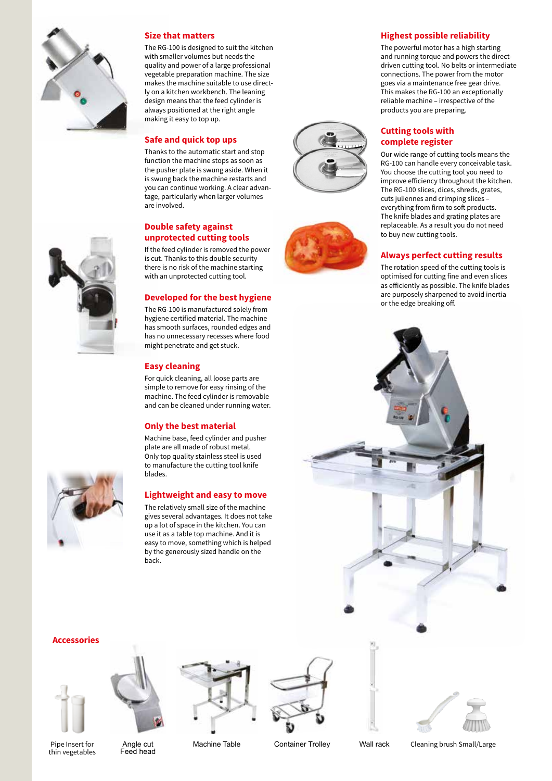

#### **Size that matters**

The RG-100 is designed to suit the kitchen with smaller volumes but needs the quality and power of a large professional vegetable preparation machine. The size makes the machine suitable to use directly on a kitchen workbench. The leaning design means that the feed cylinder is always positioned at the right angle making it easy to top up.

# **Safe and quick top ups**

Thanks to the automatic start and stop function the machine stops as soon as the pusher plate is swung aside. When it is swung back the machine restarts and you can continue working. A clear advantage, particularly when larger volumes are involved.

# **Double safety against unprotected cutting tools**

If the feed cylinder is removed the power is cut. Thanks to this double security there is no risk of the machine starting with an unprotected cutting tool.

# **Developed for the best hygiene**

The RG-100 is manufactured solely from hygiene certified material. The machine has smooth surfaces, rounded edges and has no unnecessary recesses where food might penetrate and get stuck.

# **Easy cleaning**

For quick cleaning, all loose parts are simple to remove for easy rinsing of the machine. The feed cylinder is removable and can be cleaned under running water.

# **Only the best material**

Machine base, feed cylinder and pusher plate are all made of robust metal. Only top quality stainless steel is used to manufacture the cutting tool knife blades.

# **Lightweight and easy to move**

The relatively small size of the machine gives several advantages. It does not take up a lot of space in the kitchen. You can use it as a table top machine. And it is easy to move, something which is helped by the generously sized handle on the back.





#### **Highest possible reliability**

The powerful motor has a high starting and running torque and powers the directdriven cutting tool. No belts or intermediate connections. The power from the motor goes via a maintenance free gear drive. This makes the RG-100 an exceptionally reliable machine – irrespective of the products you are preparing.

# **Cutting tools with complete register**

Our wide range of cutting tools means the RG-100 can handle every conceivable task. You choose the cutting tool you need to improve efficiency throughout the kitchen. The RG-100 slices, dices, shreds, grates, cuts juliennes and crimping slices – everything from firm to soft products. The knife blades and grating plates are replaceable. As a result you do not need to buy new cutting tools.

#### **Always perfect cutting results**

The rotation speed of the cutting tools is optimised for cutting fine and even slices as efficiently as possible. The knife blades are purposely sharpened to avoid inertia or the edge breaking off.



#### **Accessories**









Pipe Insert for thin vegetables

Angle cut Feed head

Machine Table **Container Trolley** Wall rack Cleaning brush Small/Large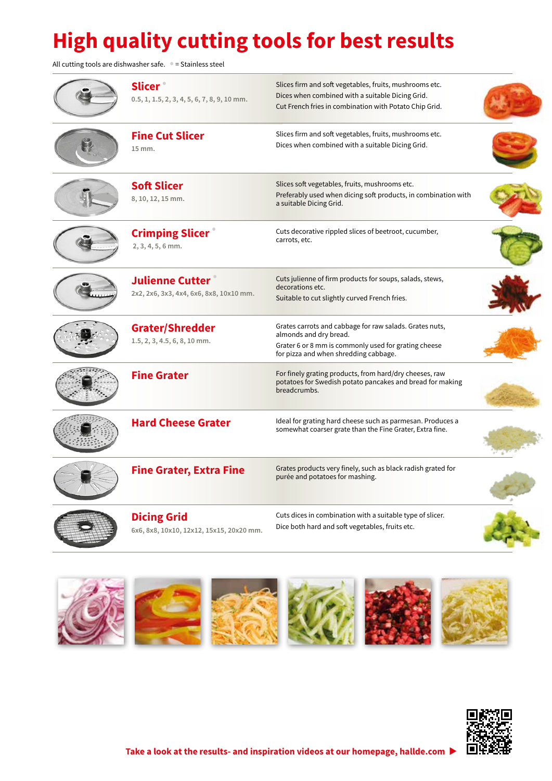# **High quality cutting tools for best results**

All cutting tools are dishwasher safe. **•** = Stainless steel

| <b>Slicer</b><br>$0.5, 1, 1.5, 2, 3, 4, 5, 6, 7, 8, 9, 10$ mm.    | Slices firm and soft vegetables, fruits, mushrooms etc.<br>Dices when combined with a suitable Dicing Grid.<br>Cut French fries in combination with Potato Chip Grid.              |  |
|-------------------------------------------------------------------|------------------------------------------------------------------------------------------------------------------------------------------------------------------------------------|--|
| <b>Fine Cut Slicer</b><br>15 mm.                                  | Slices firm and soft vegetables, fruits, mushrooms etc.<br>Dices when combined with a suitable Dicing Grid.                                                                        |  |
| <b>Soft Slicer</b><br>8, 10, 12, 15 mm.                           | Slices soft vegetables, fruits, mushrooms etc.<br>Preferably used when dicing soft products, in combination with<br>a suitable Dicing Grid.                                        |  |
| <b>Crimping Slicer</b><br>$2, 3, 4, 5, 6$ mm.                     | Cuts decorative rippled slices of beetroot, cucumber,<br>carrots, etc.                                                                                                             |  |
| <b>Julienne Cutter</b><br>2x2, 2x6, 3x3, 4x4, 6x6, 8x8, 10x10 mm. | Cuts julienne of firm products for soups, salads, stews,<br>decorations etc.<br>Suitable to cut slightly curved French fries.                                                      |  |
| <b>Grater/Shredder</b><br>1.5, 2, 3, 4.5, 6, 8, 10 mm.            | Grates carrots and cabbage for raw salads. Grates nuts,<br>almonds and dry bread.<br>Grater 6 or 8 mm is commonly used for grating cheese<br>for pizza and when shredding cabbage. |  |
| <b>Fine Grater</b>                                                | For finely grating products, from hard/dry cheeses, raw<br>potatoes for Swedish potato pancakes and bread for making<br>breadcrumbs.                                               |  |
| <b>Hard Cheese Grater</b>                                         | Ideal for grating hard cheese such as parmesan. Produces a<br>somewhat coarser grate than the Fine Grater, Extra fine.                                                             |  |
| <b>Fine Grater, Extra Fine</b>                                    | Grates products very finely, such as black radish grated for<br>purée and potatoes for mashing.                                                                                    |  |
| <b>Dicing Grid</b><br>6x6, 8x8, 10x10, 12x12, 15x15, 20x20 mm.    | Cuts dices in combination with a suitable type of slicer.<br>Dice both hard and soft vegetables, fruits etc.                                                                       |  |